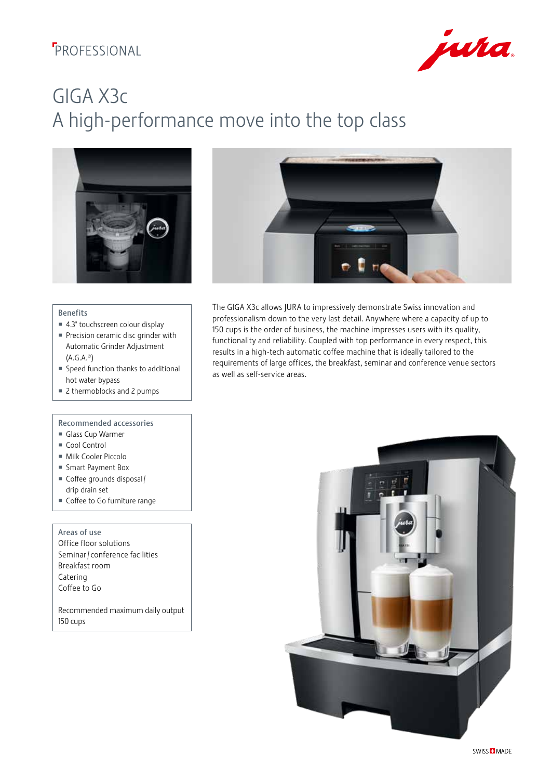## **F**PROFESSIONAL



# GIGA X3c A high-performance move into the top class





- 4.3" touchscreen colour display
- Precision ceramic disc grinder with Automatic Grinder Adjustment (A.G.A.©)
- Speed function thanks to additional hot water bypass
- 2 thermoblocks and 2 pumps

### Recommended accessories

- Glass Cup Warmer
- Cool Control
- Milk Cooler Piccolo
- Smart Payment Box
- Coffee grounds disposal / drip drain set
- Coffee to Go furniture range

#### Areas of use

Office floor solutions Seminar / conference facilities Breakfast room Catering Coffee to Go

Recommended maximum daily output 150 cups



The GIGA X3c allows JURA to impressively demonstrate Swiss innovation and professionalism down to the very last detail. Anywhere where a capacity of up to 150 cups is the order of business, the machine impresses users with its quality, functionality and reliability. Coupled with top performance in every respect, this results in a high-tech automatic coffee machine that is ideally tailored to the requirements of large offices, the breakfast, seminar and conference venue sectors as well as self-service areas.